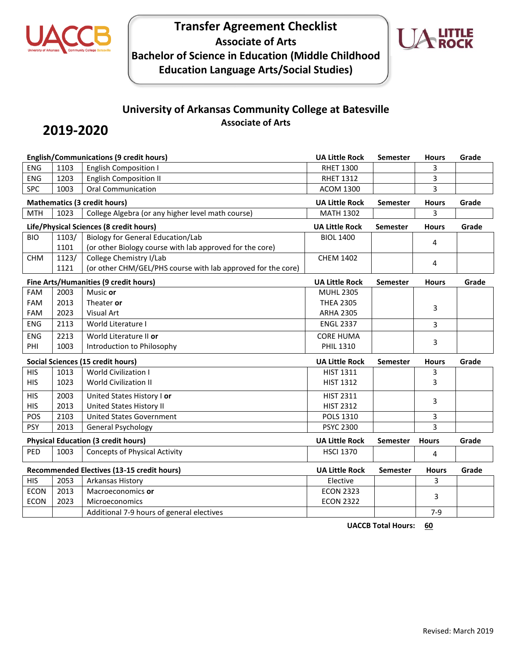

## **Transfer Agreement Checklist Associate of Arts Bachelor of Science in Education (Middle Childhood Education Language Arts/Social Studies)**



### **University of Arkansas Community College at Batesville Associate of Arts**

# **2019-2020**

| <b>English/Communications (9 credit hours)</b> |                                            |                                                              | <b>UA Little Rock</b> | Semester        | <b>Hours</b> | Grade |
|------------------------------------------------|--------------------------------------------|--------------------------------------------------------------|-----------------------|-----------------|--------------|-------|
| <b>ENG</b>                                     | 1103                                       | <b>English Composition I</b>                                 | <b>RHET 1300</b>      |                 | 3            |       |
| <b>ENG</b>                                     | 1203                                       | <b>English Composition II</b>                                | <b>RHET 1312</b>      |                 | 3            |       |
| <b>SPC</b>                                     | 1003                                       | <b>Oral Communication</b>                                    | <b>ACOM 1300</b>      |                 | 3            |       |
|                                                |                                            | <b>Mathematics (3 credit hours)</b>                          | <b>UA Little Rock</b> | Semester        | <b>Hours</b> | Grade |
| <b>MTH</b>                                     | 1023                                       | College Algebra (or any higher level math course)            | <b>MATH 1302</b>      |                 | 3            |       |
|                                                |                                            | Life/Physical Sciences (8 credit hours)                      | <b>UA Little Rock</b> | Semester        | <b>Hours</b> | Grade |
| <b>BIO</b>                                     | 1103/                                      | <b>Biology for General Education/Lab</b>                     | <b>BIOL 1400</b>      |                 | 4            |       |
|                                                | 1101                                       | (or other Biology course with lab approved for the core)     |                       |                 |              |       |
| <b>CHM</b>                                     | 1123/                                      | College Chemistry I/Lab                                      | <b>CHEM 1402</b>      |                 | 4            |       |
|                                                | 1121                                       | (or other CHM/GEL/PHS course with lab approved for the core) |                       |                 |              |       |
|                                                |                                            | Fine Arts/Humanities (9 credit hours)                        | <b>UA Little Rock</b> | <b>Semester</b> | <b>Hours</b> | Grade |
| FAM                                            | 2003                                       | Music or                                                     | <b>MUHL 2305</b>      |                 |              |       |
| FAM                                            | 2013                                       | Theater or                                                   | <b>THEA 2305</b>      |                 | 3            |       |
| <b>FAM</b>                                     | 2023                                       | <b>Visual Art</b>                                            | <b>ARHA 2305</b>      |                 |              |       |
| <b>ENG</b>                                     | 2113                                       | World Literature I                                           | <b>ENGL 2337</b>      |                 | 3            |       |
| <b>ENG</b>                                     | 2213                                       | World Literature II or                                       | <b>CORE HUMA</b>      |                 | 3            |       |
| PHI                                            | 1003                                       | Introduction to Philosophy                                   | <b>PHIL 1310</b>      |                 |              |       |
|                                                |                                            | <b>Social Sciences (15 credit hours)</b>                     | <b>UA Little Rock</b> | <b>Semester</b> | <b>Hours</b> | Grade |
| <b>HIS</b>                                     | 1013                                       | <b>World Civilization I</b>                                  | <b>HIST 1311</b>      |                 | 3            |       |
| <b>HIS</b>                                     | 1023                                       | <b>World Civilization II</b>                                 | <b>HIST 1312</b>      |                 | 3            |       |
| <b>HIS</b>                                     | 2003                                       | United States History I or                                   | <b>HIST 2311</b>      |                 | 3            |       |
| <b>HIS</b>                                     | 2013                                       | United States History II                                     | <b>HIST 2312</b>      |                 |              |       |
| POS                                            | 2103                                       | <b>United States Government</b>                              | <b>POLS 1310</b>      |                 | 3            |       |
| <b>PSY</b>                                     | 2013                                       | General Psychology                                           | <b>PSYC 2300</b>      |                 | 3            |       |
| <b>Physical Education (3 credit hours)</b>     |                                            |                                                              | <b>UA Little Rock</b> | <b>Semester</b> | <b>Hours</b> | Grade |
| PED                                            | 1003                                       | <b>Concepts of Physical Activity</b>                         | <b>HSCI 1370</b>      |                 | 4            |       |
|                                                | Recommended Electives (13-15 credit hours) |                                                              | <b>UA Little Rock</b> | <b>Semester</b> | <b>Hours</b> | Grade |
| <b>HIS</b>                                     | 2053<br>Arkansas History                   |                                                              | Elective              |                 | 3            |       |
| <b>ECON</b>                                    | 2013                                       | Macroeconomics or                                            | <b>ECON 2323</b>      |                 |              |       |
| <b>ECON</b>                                    | 2023                                       | Microeconomics                                               | <b>ECON 2322</b>      |                 | 3            |       |
|                                                | Additional 7-9 hours of general electives  |                                                              |                       |                 | $7 - 9$      |       |

**UACCB Total Hours: 60**